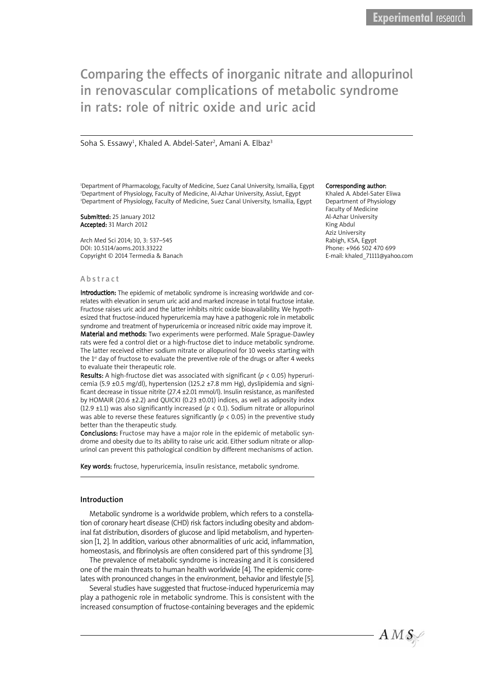# Comparing the effects of inorganic nitrate and allopurinol Comparing the effects of inorganic nitrate and allopurinol in renovascular complications of metabolic syndrome in renovascular complications of metabolic syndrome in rats: role of nitric oxide and uric acid in rats: role of nitric oxide and uric acid

### Soha S. Essawy<sup>1</sup>, Khaled A. Abdel-Sater<sup>2</sup>, Amani A. Elbaz<sup>3</sup>

1 Department of Pharmacology, Faculty of Medicine, Suez Canal University, Ismailia, Egypt 2 Department of Physiology, Faculty of Medicine, Al-Azhar University, Assiut, Egypt 3 Department of Physiology, Faculty of Medicine, Suez Canal University, Ismailia, Egypt

Submitted: 25 January 2012 Accepted: 31 March 2012

Arch Med Sci 2014; 10, 3: 537–545 DOI: 10.5114/aoms.2013.33222 Copyright © 2014 Termedia & Banach

#### **Abstract**

Introduction: The epidemic of metabolic syndrome is increasing worldwide and correlates with elevation in serum uric acid and marked increase in total fructose intake. Fructose raises uric acid and the latter inhibits nitric oxide bioavailability. We hypothesized that fructose-induced hyperuricemia may have a pathogenic role in metabolic syndrome and treatment of hyperuricemia or increased nitric oxide may improve it. Material and methods: Two experiments were performed. Male Sprague-Dawley rats were fed a control diet or a high-fructose diet to induce metabolic syndrome. The latter received either sodium nitrate or allopurinol for 10 weeks starting with the  $1<sup>st</sup>$  day of fructose to evaluate the preventive role of the drugs or after 4 weeks to evaluate their therapeutic role.

Results: A high-fructose diet was associated with significant (*p* < 0.05) hyperuricemia (5.9 ±0.5 mg/dl), hypertension (125.2 ±7.8 mm Hg), dyslipidemia and significant decrease in tissue nitrite (27.4 ±2.01 mmol/l). Insulin resistance, as manifested by HOMAIR (20.6  $\pm$ 2.2) and QUICKI (0.23  $\pm$ 0.01) indices, as well as adiposity index (12.9  $\pm$ 1.1) was also significantly increased ( $p < 0.1$ ). Sodium nitrate or allopurinol was able to reverse these features significantly ( $p < 0.05$ ) in the preventive study better than the therapeutic study.

Conclusions: Fructose may have a major role in the epidemic of metabolic syndrome and obesity due to its ability to raise uric acid. Either sodium nitrate or allopurinol can prevent this pathological condition by different mechanisms of action.

Key words: fructose, hyperuricemia, insulin resistance, metabolic syndrome.

### Introduction

Metabolic syndrome is a worldwide problem, which refers to a constellation of coronary heart disease (CHD) risk factors including obesity and abdominal fat distribution, disorders of glucose and lipid metabolism, and hypertension [1, 2]. In addition, various other abnormalities of uric acid, inflammation, homeostasis, and fibrinolysis are often considered part of this syndrome [3].

The prevalence of metabolic syndrome is increasing and it is considered one of the main threats to human health worldwide [4]. The epidemic correlates with pronounced changes in the environment, behavior and lifestyle [5].

Several studies have suggested that fructose-induced hyperuricemia may play a pathogenic role in metabolic syndrome. This is consistent with the increased consumption of fructose-containing beverages and the epidemic

#### Corresponding author:

Khaled A. Abdel-Sater Eliwa Department of Physiology Faculty of Medicine Al-Azhar University King Abdul Aziz University Rabigh, KSA, Egypt Phone: +966 502 470 699 E-mail: khaled\_71111@yahoo.com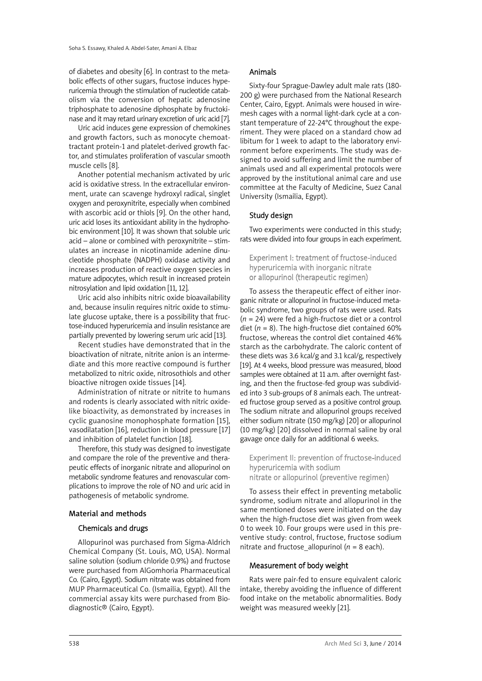of diabetes and obesity [6]. In contrast to the metabolic effects of other sugars, fructose induces hyperuricemia through the stimulation of nucleotide catabolism via the conversion of hepatic adenosine triphosphate to adenosine diphosphate by fructokinase and it may retard urinary excretion of uric acid [7].

Uric acid induces gene expression of chemokines and growth factors, such as monocyte chemoattractant protein-1 and platelet-derived growth factor, and stimulates proliferation of vascular smooth muscle cells [8].

Another potential mechanism activated by uric acid is oxidative stress. In the extracellular environment, urate can scavenge hydroxyl radical, singlet oxygen and peroxynitrite, especially when combined with ascorbic acid or thiols [9]. On the other hand, uric acid loses its antioxidant ability in the hydrophobic environment [10]. It was shown that soluble uric acid – alone or combined with peroxynitrite – stimulates an increase in nicotinamide adenine dinucleotide phosphate (NADPH) oxidase activity and increases production of reactive oxygen species in mature adipocytes, which result in increased protein nitrosylation and lipid oxidation [11, 12].

Uric acid also inhibits nitric oxide bioavailability and, because insulin requires nitric oxide to stimulate glucose uptake, there is a possibility that fructose-induced hyperuricemia and insulin resistance are partially prevented by lowering serum uric acid [13].

Recent studies have demonstrated that in the bioactivation of nitrate, nitrite anion is an intermediate and this more reactive compound is further metabolized to nitric oxide, nitrosothiols and other bioactive nitrogen oxide tissues [14].

Administration of nitrate or nitrite to humans and rodents is clearly associated with nitric oxidelike bioactivity, as demonstrated by increases in cyclic guanosine monophosphate formation [15], vasodilatation [16], reduction in blood pressure [17] and inhibition of platelet function [18].

Therefore, this study was designed to investigate and compare the role of the preventive and therapeutic effects of inorganic nitrate and allopurinol on metabolic syndrome features and renovascular complications to improve the role of NO and uric acid in pathogenesis of metabolic syndrome.

### Material and methods

### Chemicals and drugs

Allopurinol was purchased from Sigma-Aldrich Chemical Company (St. Louis, MO, USA). Normal saline solution (sodium chloride 0.9%) and fructose were purchased from AlGomhoria Pharmaceutical Co. (Cairo, Egypt). Sodium nitrate was obtained from MUP Pharmaceutical Co. (Ismailia, Egypt). All the commercial assay kits were purchased from Biodiagnostic® (Cairo, Egypt).

### Animals

Sixty-four Sprague-Dawley adult male rats (180- 200 g) were purchased from the National Research Center, Cairo, Egypt. Animals were housed in wiremesh cages with a normal light-dark cycle at a constant temperature of 22-24°C throughout the experiment. They were placed on a standard chow ad libitum for 1 week to adapt to the laboratory environment before experiments. The study was designed to avoid suffering and limit the number of animals used and all experimental protocols were approved by the institutional animal care and use committee at the Faculty of Medicine, Suez Canal University (Ismailia, Egypt).

### Study design

Two experiments were conducted in this study; rats were divided into four groups in each experiment.

Experiment I: treatment of fructose-induced hyperuricemia with inorganic nitrate or allopurinol (therapeutic regimen)

To assess the therapeutic effect of either inorganic nitrate or allopurinol in fructose-induced metabolic syndrome, two groups of rats were used. Rats (*n* = 24) were fed a high-fructose diet or a control diet  $(n = 8)$ . The high-fructose diet contained 60% fructose, whereas the control diet contained 46% starch as the carbohydrate. The caloric content of these diets was 3.6 kcal/g and 3.1 kcal/g, respectively [19]. At 4 weeks, blood pressure was measured, blood samples were obtained at 11 a.m. after overnight fasting, and then the fructose-fed group was subdivided into 3 sub-groups of 8 animals each. The untreated fructose group served as a positive control group. The sodium nitrate and allopurinol groups received either sodium nitrate (150 mg/kg) [20] or allopurinol (10 mg/kg) [20] dissolved in normal saline by oral gavage once daily for an additional 6 weeks.

Experiment II: prevention of fructose-induced hyperuricemia with sodium nitrate or allopurinol (preventive regimen)

To assess their effect in preventing metabolic syndrome, sodium nitrate and allopurinol in the same mentioned doses were initiated on the day when the high-fructose diet was given from week 0 to week 10. Four groups were used in this preventive study: control, fructose, fructose sodium nitrate and fructose allopurinol ( $n = 8$  each).

# Measurement of body weight

Rats were pair-fed to ensure equivalent caloric intake, thereby avoiding the influence of different food intake on the metabolic abnormalities. Body weight was measured weekly [21].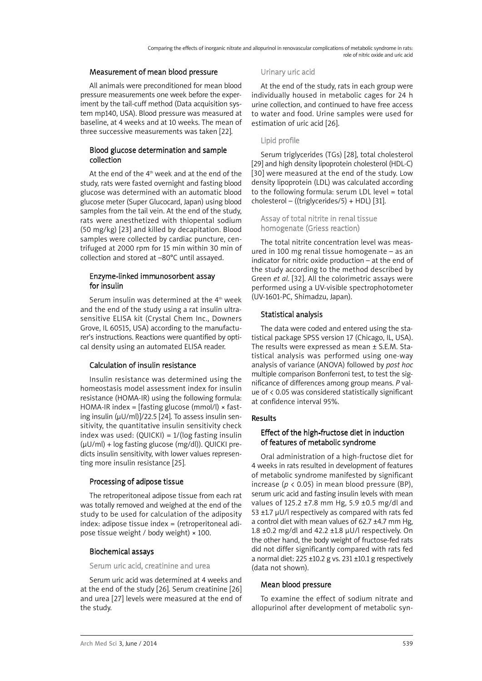### Measurement of mean blood pressure

All animals were preconditioned for mean blood pressure measurements one week before the experiment by the tail-cuff method (Data acquisition system mp140, USA). Blood pressure was measured at baseline, at 4 weeks and at 10 weeks. The mean of three successive measurements was taken [22].

# Blood glucose determination and sample collection

At the end of the  $4<sup>th</sup>$  week and at the end of the study, rats were fasted overnight and fasting blood glucose was determined with an automatic blood glucose meter (Super Glucocard, Japan) using blood samples from the tail vein. At the end of the study, rats were anesthetized with thiopental sodium (50 mg/kg) [23] and killed by decapitation. Blood samples were collected by cardiac puncture, centrifuged at 2000 rpm for 15 min within 30 min of collection and stored at –80°C until assayed.

# Enzyme-linked immunosorbent assay for insulin

Serum insulin was determined at the 4<sup>th</sup> week and the end of the study using a rat insulin ultrasensitive ELISA kit (Crystal Chem Inc., Downers Grove, IL 60515, USA) according to the manufacturer's instructions. Reactions were quantified by optical density using an automated ELISA reader.

# Calculation of insulin resistance

Insulin resistance was determined using the homeostasis model assessment index for insulin resistance (HOMA-IR) using the following formula: HOMA-IR index =  $[fasting glucose (mmol/l) \times fast$ ing insulin (µU/ml)]/22.5 [24]. To assess insulin sensitivity, the quantitative insulin sensitivity check index was used:  $(QUICKI) = 1/(log fasting insulin)$ (µU/ml) + log fasting glucose (mg/dl)). QUICKI predicts insulin sensitivity, with lower values representing more insulin resistance [25].

# Processing of adipose tissue

The retroperitoneal adipose tissue from each rat was totally removed and weighed at the end of the study to be used for calculation of the adiposity index: adipose tissue index = (retroperitoneal adipose tissue weight / body weight) × 100.

# Biochemical assays

Serum uric acid, creatinine and urea

Serum uric acid was determined at 4 weeks and at the end of the study [26]. Serum creatinine [26] and urea [27] levels were measured at the end of the study.

### Urinary uric acid

At the end of the study, rats in each group were individually housed in metabolic cages for 24 h urine collection, and continued to have free access to water and food. Urine samples were used for estimation of uric acid [26].

# Lipid profile

Serum triglycerides (TGs) [28], total cholesterol [29] and high density lipoprotein cholesterol (HDL-C) [30] were measured at the end of the study. Low density lipoprotein (LDL) was calculated according to the following formula: serum LDL level = total cholesterol – ((triglycerides/5) + HDL) [31].

Assay of total nitrite in renal tissue homogenate (Griess reaction)

The total nitrite concentration level was measured in 100 mg renal tissue homogenate – as an indicator for nitric oxide production – at the end of the study according to the method described by Green *et al*. [32]. All the colorimetric assays were performed using a UV-visible spectrophotometer (UV-1601-PC, Shimadzu, Japan).

# Statistical analysis

The data were coded and entered using the statistical package SPSS version 17 (Chicago, IL, USA). The results were expressed as mean ± S.E.M. Statistical analysis was performed using one-way analysis of variance (ANOVA) followed by *post hoc* multiple comparison Bonferroni test, to test the significance of differences among group means. *P* value of < 0.05 was considered statistically significant at confidence interval 95%.

# Results

# Effect of the high-fructose diet in induction of features of metabolic syndrome

Oral administration of a high-fructose diet for 4 weeks in rats resulted in development of features of metabolic syndrome manifested by significant increase ( $p < 0.05$ ) in mean blood pressure (BP), serum uric acid and fasting insulin levels with mean values of 125.2 ±7.8 mm Hg, 5.9 ±0.5 mg/dl and 53  $\pm$ 1.7 µU/l respectively as compared with rats fed a control diet with mean values of 62.7 ±4.7 mm Hg, 1.8  $\pm$ 0.2 mg/dl and 42.2  $\pm$ 1.8  $\mu$ U/l respectively. On the other hand, the body weight of fructose-fed rats did not differ significantly compared with rats fed a normal diet:  $225 \pm 10.2$  g vs.  $231 \pm 10.1$  g respectively (data not shown).

# Mean blood pressure

To examine the effect of sodium nitrate and allopurinol after development of metabolic syn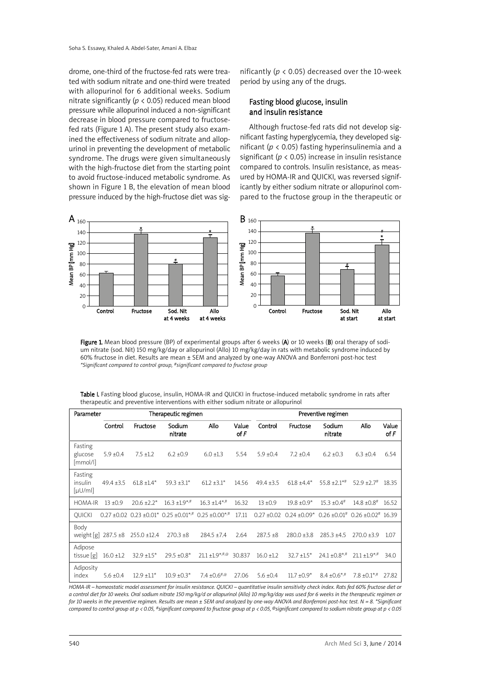drome, one-third of the fructose-fed rats were treated with sodium nitrate and one-third were treated with allopurinol for 6 additional weeks. Sodium nitrate significantly (*p* < 0.05) reduced mean blood pressure while allopurinol induced a non-significant decrease in blood pressure compared to fructosefed rats (Figure 1 A). The present study also examined the effectiveness of sodium nitrate and allopurinol in preventing the development of metabolic syndrome. The drugs were given simultaneously with the high-fructose diet from the starting point to avoid fructose-induced metabolic syndrome. As shown in Figure 1 B, the elevation of mean blood pressure induced by the high-fructose diet was sig-

nificantly (*p* < 0.05) decreased over the 10-week period by using any of the drugs.

### Fasting blood glucose, insulin and insulin resistance

Although fructose-fed rats did not develop significant fasting hyperglycemia, they developed significant (*p* < 0.05) fasting hyperinsulinemia and a significant (*p* < 0.05) increase in insulin resistance compared to controls. Insulin resistance, as measured by HOMA-IR and QUICKI, was reversed significantly by either sodium nitrate or allopurinol compared to the fructose group in the therapeutic or



Figure 1. Mean blood pressure (BP) of experimental groups after 6 weeks (A) or 10 weeks (B) oral therapy of sodium nitrate (sod. Nit) 150 mg/kg/day or allopurinol (Allo) 10 mg/kg/day in rats with metabolic syndrome induced by 60% fructose in diet. Results are mean ± SEM and analyzed by one-way ANOVA and Bonferroni post-hoc test *\*Significant compared to control group, #significant compared to fructose group*

| Table I. Fasting blood glucose, insulin, HOMA-IR and QUICKI in fructose-induced metabolic syndrome in rats after |  |
|------------------------------------------------------------------------------------------------------------------|--|
| therapeutic and preventive interventions with either sodium nitrate or allopurinol                               |  |

| Parameter                                     | Therapeutic regimen |                  |                               |                                                                                               |                 | Preventive regimen |                                     |                    |                                  |               |
|-----------------------------------------------|---------------------|------------------|-------------------------------|-----------------------------------------------------------------------------------------------|-----------------|--------------------|-------------------------------------|--------------------|----------------------------------|---------------|
|                                               | Control             | Fructose         | Sodium<br>nitrate             | Allo                                                                                          | Value<br>of $F$ | Control            | Fructose                            | Sodium<br>nitrate  | Allo                             | Value<br>of F |
| Fasting<br>glucose<br>[mmol/l]                | $5.9 \pm 0.4$       | $7.5 \pm 1.2$    | $6.2 \pm 0.9$                 | $6.0 \pm 1.3$                                                                                 | 5.54            | $5.9 \pm 0.4$      | $7.2 \pm 0.4$                       | $6.2 + 0.3$        | $6.3 \pm 0.4$                    | 6.54          |
| Fasting<br>insulin<br>$\lceil \mu U/m \rceil$ | $49.4 \pm 3.5$      | $61.8 + 1.4*$    | $59.3 \pm 3.1^*$              | $61.2 \pm 3.1^*$                                                                              | 14.56           | $49.4 \pm 3.5$     | $61.8 \pm 4.4*$                     | $55.8 \pm 2.1$ *#  | $52.9 \pm 2.7$ #                 | 18.35         |
| <b>HOMA-IR</b>                                | $13 + 0.9$          | $20.6 \pm 2.2^*$ | $16.3 \pm 1.9$ <sup>*,#</sup> | $16.3 \pm 1.4$ <sup>*,#</sup>                                                                 | 16.32           | $13 + 0.9$         | $19.8 \pm 0.9*$                     | $15.3 \pm 0.4$ #   | $14.8 \pm 0.8$ <sup>#</sup>      | 16.52         |
| <b>OUICKI</b>                                 |                     |                  |                               | $0.27 \pm 0.02$ $0.23 \pm 0.01$ $0.25 \pm 0.01$ <sup>*,#</sup> $0.25 \pm 0.00$ <sup>*,#</sup> | 17.11           | $0.27 \pm 0.02$    | $0.24 \pm 0.09$ * $0.26 \pm 0.01$ # |                    | $0.26 + 0.02$ <sup>#</sup> 16.39 |               |
| Body<br>weight [g]                            | 287.5 ±8            | $255.0 \pm 12.4$ | $270.3 \pm 8$                 | $284.5 \pm 7.4$                                                                               | 2.64            | $287.5 + 8$        | $280.0 \pm 3.8$                     | $285.3 \pm 4.5$    | $270.0 \pm 3.9$                  | 1.07          |
| Adipose<br>tissue  g                          | $16.0 \pm 1.2$      | $32.9 \pm 1.5^*$ | 29.5 ±0.8*                    | $21.1 \pm 1.9$ <sup>*,#,@</sup>                                                               | 30.837          | $16.0 \pm 1.2$     | $32.7 \pm 1.5^*$                    | $24.1 \pm 0.8$ *,# | $21.1 + 1.9$ *,#                 | 34.0          |
| Adiposity<br>index                            | $5.6 \pm 0.4$       | $12.9 \pm 1.1^*$ | $10.9 \pm 0.3^*$              | 7.4 $\pm 0.6^{*,\circledcirc}$                                                                | 27.06           | $5.6 \pm 0.4$      | $11.7 \pm 0.9$ *                    | $8.4 \pm 0.6$ *,#  | $7.8 \pm 0.1$ <sup>*,#</sup>     | 27.82         |

HOMA-IR - homeostatic model assessment for insulin resistance. QUICKI - quantitative insulin sensitivity check index. Rats fed 60% fructose diet or a control diet for 10 weeks. Oral sodium nitrate 150 mg/kg/d or allopurinol (Allo) 10 mg/kg/day was used for 6 weeks in the therapeutic regimen or for 10 weeks in the preventive regimen. Results are mean ± SEM and analyzed by one-way ANOVA and Bonferroni post-hoc test. N = 8. \*Significant compared to control aroup at  $p < 0.05$ . #significant compared to fructose aroup at  $p < 0.05$ . @significant compared to sodium nitrate aroup at  $p < 0.05$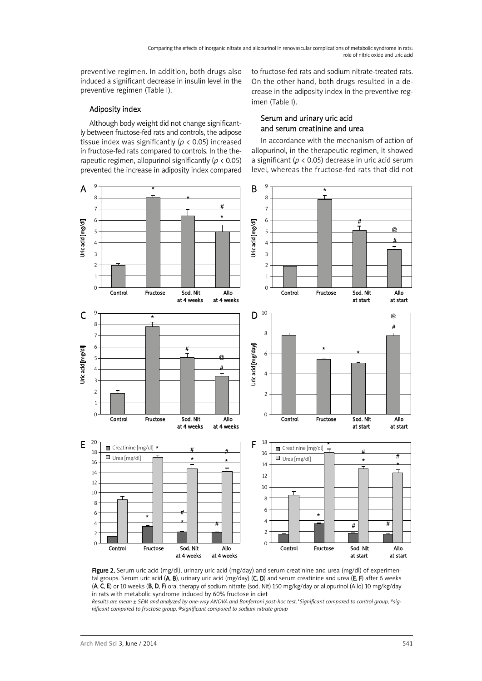preventive regimen. In addition, both drugs also induced a significant decrease in insulin level in the preventive regimen (Table I).

Adiposity index

On the other hand, both drugs resulted in a decrease in the adiposity index in the preventive regimen (Table I).

to fructose-fed rats and sodium nitrate-treated rats.

### Although body weight did not change significantly between fructose-fed rats and controls, the adipose tissue index was significantly (*p* < 0.05) increased in fructose-fed rats compared to controls. In the therapeutic regimen, allopurinol significantly (*p* < 0.05) prevented the increase in adiposity index compared

Serum and urinary uric acid and serum creatinine and urea

In accordance with the mechanism of action of allopurinol, in the therapeutic regimen, it showed a significant (*p* < 0.05) decrease in uric acid serum level, whereas the fructose-fed rats that did not





Results are mean ± SEM and analyzed by one-way ANOVA and Bonferroni post-hoc test.\*Significant compared to control group, #sig*nificant compared to fructose group, @significant compared to sodium nitrate group*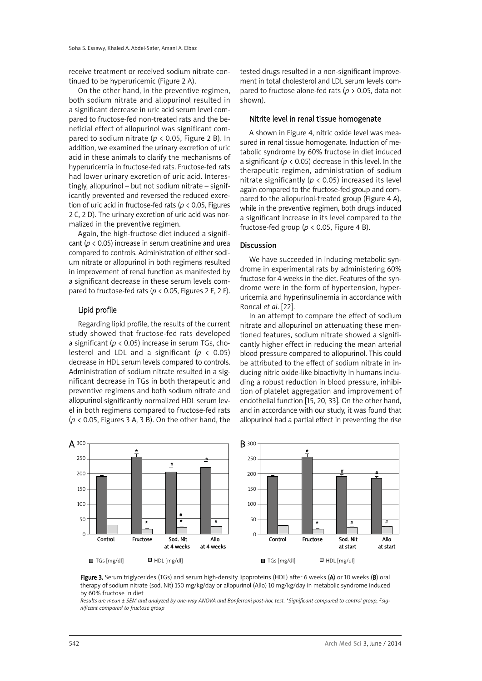receive treatment or received sodium nitrate continued to be hyperuricemic (Figure 2 A).

On the other hand, in the preventive regimen, both sodium nitrate and allopurinol resulted in a significant decrease in uric acid serum level compared to fructose-fed non-treated rats and the beneficial effect of allopurinol was significant compared to sodium nitrate (*p* < 0.05, Figure 2 B). In addition, we examined the urinary excretion of uric acid in these animals to clarify the mechanisms of hyperuricemia in fructose-fed rats. Fructose-fed rats had lower urinary excretion of uric acid. Interestingly, allopurinol – but not sodium nitrate – significantly prevented and reversed the reduced excretion of uric acid in fructose-fed rats (*p* < 0.05, Figures 2 C, 2 D). The urinary excretion of uric acid was normalized in the preventive regimen.

Again, the high-fructose diet induced a significant (*p* < 0.05) increase in serum creatinine and urea compared to controls. Administration of either sodium nitrate or allopurinol in both regimens resulted in improvement of renal function as manifested by a significant decrease in these serum levels compared to fructose-fed rats ( $p < 0.05$ , Figures 2 E, 2 F).

### Lipid profile

Regarding lipid profile, the results of the current study showed that fructose-fed rats developed a significant (*p* < 0.05) increase in serum TGs, cholesterol and LDL and a significant (*p* < 0.05) decrease in HDL serum levels compared to controls. Administration of sodium nitrate resulted in a significant decrease in TGs in both therapeutic and preventive regimens and both sodium nitrate and allopurinol significantly normalized HDL serum level in both regimens compared to fructose-fed rats (*p* < 0.05, Figures 3 A, 3 B). On the other hand, the tested drugs resulted in a non-significant improvement in total cholesterol and LDL serum levels compared to fructose alone-fed rats (*p* > 0.05, data not shown).

### Nitrite level in renal tissue homogenate

A shown in Figure 4, nitric oxide level was measured in renal tissue homogenate. Induction of metabolic syndrome by 60% fructose in diet induced a significant (*p* < 0.05) decrease in this level. In the therapeutic regimen, administration of sodium nitrate significantly ( $p < 0.05$ ) increased its level again compared to the fructose-fed group and compared to the allopurinol-treated group (Figure 4 A), while in the preventive regimen, both drugs induced a significant increase in its level compared to the fructose-fed group ( $p < 0.05$ , Figure 4 B).

### Discussion

We have succeeded in inducing metabolic syndrome in experimental rats by administering 60% fructose for 4 weeks in the diet. Features of the syndrome were in the form of hypertension, hyperuricemia and hyperinsulinemia in accordance with Roncal *et al*. [22].

In an attempt to compare the effect of sodium nitrate and allopurinol on attenuating these mentioned features, sodium nitrate showed a significantly higher effect in reducing the mean arterial blood pressure compared to allopurinol. This could be attributed to the effect of sodium nitrate in inducing nitric oxide-like bioactivity in humans including a robust reduction in blood pressure, inhibition of platelet aggregation and improvement of endothelial function [15, 20, 33]. On the other hand, and in accordance with our study, it was found that allopurinol had a partial effect in preventing the rise



Figure 3. Serum triglycerides (TGs) and serum high-density lipoproteins (HDL) after 6 weeks (A) or 10 weeks (B) oral therapy of sodium nitrate (sod. Nit) 150 mg/kg/day or allopurinol (Allo) 10 mg/kg/day in metabolic syndrome induced by 60% fructose in diet

Results are mean ± SEM and analyzed by one-way ANOVA and Bonferroni post-hoc test. \*Significant compared to control group, #sig*nificant compared to fructose group*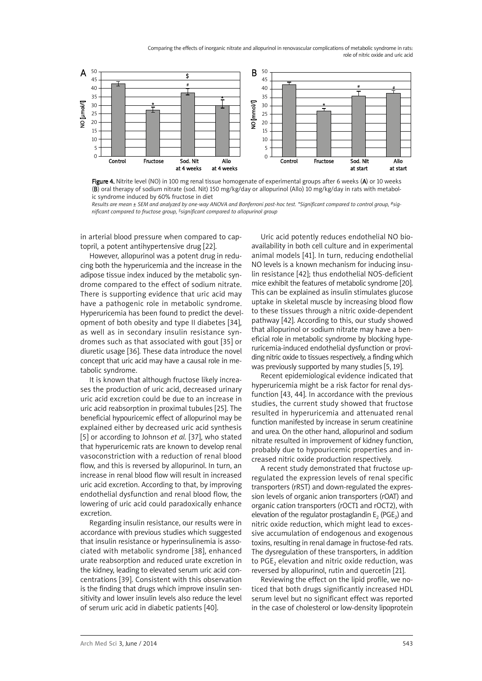Comparing the effects of inorganic nitrate and allopurinol in renovascular complications of metabolic syndrome in rats: role of nitric oxide and uric acid



Figure 4. Nitrite level (NO) in 100 mg renal tissue homogenate of experimental groups after 6 weeks (A) or 10 weeks (B) oral therapy of sodium nitrate (sod. Nit) 150 mg/kg/day or allopurinol (Allo) 10 mg/kg/day in rats with metabolic syndrome induced by 60% fructose in diet

Results are mean ± SEM and analyzed by one-way ANOVA and Bonferroni post-hoc test. \*Significant compared to control group, #sig*nificant compared to fructose group, \$significant compared to allopurinol group*

in arterial blood pressure when compared to captopril, a potent antihypertensive drug [22].

However, allopurinol was a potent drug in reducing both the hyperuricemia and the increase in the adipose tissue index induced by the metabolic syndrome compared to the effect of sodium nitrate. There is supporting evidence that uric acid may have a pathogenic role in metabolic syndrome. Hyperuricemia has been found to predict the development of both obesity and type II diabetes [34], as well as in secondary insulin resistance syndromes such as that associated with gout [35] or diuretic usage [36]. These data introduce the novel concept that uric acid may have a causal role in metabolic syndrome.

It is known that although fructose likely increases the production of uric acid, decreased urinary uric acid excretion could be due to an increase in uric acid reabsorption in proximal tubules [25]. The beneficial hypouricemic effect of allopurinol may be explained either by decreased uric acid synthesis [5] or according to Johnson *et al.* [37], who stated that hyperuricemic rats are known to develop renal vasoconstriction with a reduction of renal blood flow, and this is reversed by allopurinol. In turn, an increase in renal blood flow will result in increased uric acid excretion. According to that, by improving endothelial dysfunction and renal blood flow, the lowering of uric acid could paradoxically enhance excretion.

Regarding insulin resistance, our results were in accordance with previous studies which suggested that insulin resistance or hyperinsulinemia is associated with metabolic syndrome [38], enhanced urate reabsorption and reduced urate excretion in the kidney, leading to elevated serum uric acid concentrations [39]. Consistent with this observation is the finding that drugs which improve insulin sensitivity and lower insulin levels also reduce the level of serum uric acid in diabetic patients [40].

Uric acid potently reduces endothelial NO bioavailability in both cell culture and in experimental animal models [41]. In turn, reducing endothelial NO levels is a known mechanism for inducing insulin resistance [42]; thus endothelial NOS-deficient mice exhibit the features of metabolic syndrome [20]. This can be explained as insulin stimulates glucose uptake in skeletal muscle by increasing blood flow to these tissues through a nitric oxide-dependent pathway [42]. According to this, our study showed that allopurinol or sodium nitrate may have a beneficial role in metabolic syndrome by blocking hyperuricemia-induced endothelial dysfunction or providing nitric oxide to tissues respectively, a finding which was previously supported by many studies [5, 19].

Recent epidemiological evidence indicated that hyperuricemia might be a risk factor for renal dysfunction [43, 44]. In accordance with the previous studies, the current study showed that fructose resulted in hyperuricemia and attenuated renal function manifested by increase in serum creatinine and urea. On the other hand, allopurinol and sodium nitrate resulted in improvement of kidney function, probably due to hypouricemic properties and increased nitric oxide production respectively.

A recent study demonstrated that fructose upregulated the expression levels of renal specific transporters (rRST) and down-regulated the expression levels of organic anion transporters (rOAT) and organic cation transporters (rOCT1 and rOCT2), with elevation of the regulator prostaglandin  $E_2$  (PGE<sub>2</sub>) and nitric oxide reduction, which might lead to excessive accumulation of endogenous and exogenous toxins, resulting in renal damage in fructose-fed rats. The dysregulation of these transporters, in addition to  $PGE<sub>2</sub>$  elevation and nitric oxide reduction, was reversed by allopurinol, rutin and quercetin [21].

Reviewing the effect on the lipid profile, we noticed that both drugs significantly increased HDL serum level but no significant effect was reported in the case of cholesterol or low-density lipoprotein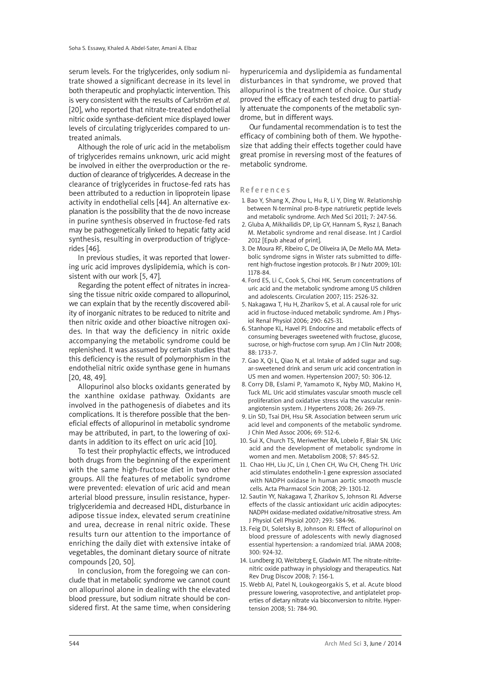serum levels. For the triglycerides, only sodium nitrate showed a significant decrease in its level in both therapeutic and prophylactic intervention. This is very consistent with the results of Carlström *et al*. [20], who reported that nitrate-treated endothelial nitric oxide synthase-deficient mice displayed lower levels of circulating triglycerides compared to untreated animals.

Although the role of uric acid in the metabolism of triglycerides remains unknown, uric acid might be involved in either the overproduction or the reduction of clearance of triglycerides. A decrease in the clearance of triglycerides in fructose-fed rats has been attributed to a reduction in lipoprotein lipase activity in endothelial cells [44]. An alternative explanation is the possibility that the de novo increase in purine synthesis observed in fructose-fed rats may be pathogenetically linked to hepatic fatty acid synthesis, resulting in overproduction of triglycerides [46].

In previous studies, it was reported that lowering uric acid improves dyslipidemia, which is consistent with our work [5, 47].

Regarding the potent effect of nitrates in increasing the tissue nitric oxide compared to allopurinol, we can explain that by the recently discovered ability of inorganic nitrates to be reduced to nitrite and then nitric oxide and other bioactive nitrogen oxides. In that way the deficiency in nitric oxide accompanying the metabolic syndrome could be replenished. It was assumed by certain studies that this deficiency is the result of polymorphism in the endothelial nitric oxide synthase gene in humans [20, 48, 49].

Allopurinol also blocks oxidants generated by the xanthine oxidase pathway. Oxidants are involved in the pathogenesis of diabetes and its complications. It is therefore possible that the beneficial effects of allopurinol in metabolic syndrome may be attributed, in part, to the lowering of oxidants in addition to its effect on uric acid [10].

To test their prophylactic effects, we introduced both drugs from the beginning of the experiment with the same high-fructose diet in two other groups. All the features of metabolic syndrome were prevented: elevation of uric acid and mean arterial blood pressure, insulin resistance, hypertriglyceridemia and decreased HDL, disturbance in adipose tissue index, elevated serum creatinine and urea, decrease in renal nitric oxide. These results turn our attention to the importance of enriching the daily diet with extensive intake of vegetables, the dominant dietary source of nitrate compounds [20, 50].

In conclusion, from the foregoing we can conclude that in metabolic syndrome we cannot count on allopurinol alone in dealing with the elevated blood pressure, but sodium nitrate should be considered first. At the same time, when considering

hyperuricemia and dyslipidemia as fundamental disturbances in that syndrome, we proved that allopurinol is the treatment of choice. Our study proved the efficacy of each tested drug to partially attenuate the components of the metabolic syndrome, but in different ways.

Our fundamental recommendation is to test the efficacy of combining both of them. We hypothesize that adding their effects together could have great promise in reversing most of the features of metabolic syndrome.

### **References**

- 1. Bao Y, Shang X, Zhou L, Hu R, Li Y, Ding W. Relationship between N-terminal pro-B-type natriuretic peptide levels and metabolic syndrome. Arch Med Sci 2011; 7: 247-56.
- 2. Gluba A, Mikhailidis DP, Lip GY, Hannam S, Rysz J, Banach M. Metabolic syndrome and renal disease. Int J Cardiol 2012 [Epub ahead of print].
- 3. De Moura RF, Ribeiro C, De Oliveira JA, De Mello MA. Metabolic syndrome signs in Wister rats submitted to different high-fructose ingestion protocols. Br J Nutr 2009; 101: 1178-84.
- 4. Ford ES, Li C, Cook S, Choi HK. Serum concentrations of uric acid and the metabolic syndrome among US children and adolescents. Circulation 2007; 115: 2526-32.
- 5. Nakagawa T, Hu H, Zharikov S, et al. A causal role for uric acid in fructose-induced metabolic syndrome. Am J Physiol Renal Physiol 2006; 290: 625-31.
- 6. Stanhope KL, Havel PJ. Endocrine and metabolic effects of consuming beverages sweetened with fructose, glucose, sucrose, or high-fructose corn syrup. Am J Clin Nutr 2008; 88: 1733-7.
- 7. Gao X, Qi L, Qiao N, et al. Intake of added sugar and sugar-sweetened drink and serum uric acid concentration in US men and women. Hypertension 2007; 50: 306-12.
- 8. Corry DB, Eslami P, Yamamoto K, Nyby MD, Makino H, Tuck ML. Uric acid stimulates vascular smooth muscle cell proliferation and oxidative stress via the vascular reninangiotensin system. J Hypertens 2008; 26: 269-75.
- 9. Lin SD, Tsai DH, Hsu SR. Association between serum uric acid level and components of the metabolic syndrome. J Chin Med Assoc 2006; 69: 512-6.
- 10. Sui X, Church TS, Meriwether RA, Lobelo F, Blair SN. Uric acid and the development of metabolic syndrome in women and men. Metabolism 2008; 57: 845-52.
- 11. Chao HH, Liu JC, Lin J, Chen CH, Wu CH, Cheng TH. Uric acid stimulates endothelin-1 gene expression associated with NADPH oxidase in human aortic smooth muscle cells. Acta Pharmacol Scin 2008; 29: 1301-12.
- 12. Sautin YY, Nakagawa T, Zharikov S, Johnson RJ. Adverse effects of the classic antioxidant uric acidin adipocytes: NADPH oxidase-mediated oxidative/nitrosative stress. Am J Physiol Cell Physiol 2007; 293: 584-96.
- 13. Feig DI, Soletsky B, Johnson RJ. Effect of allopurinol on blood pressure of adolescents with newly diagnosed essential hypertension: a randomized trial. JAMA 2008; 300: 924-32.
- 14. Lundberg JO, Weitzberg E, Gladwin MT. The nitrate-nitritenitric oxide pathway in physiology and therapeutics. Nat Rev Drug Discov 2008; 7: 156-1.
- 15. Webb AJ, Patel N, Loukogeorgakis S, et al. Acute blood pressure lowering, vasoprotective, and antiplatelet properties of dietary nitrate via bioconversion to nitrite. Hypertension 2008; 51: 784-90.